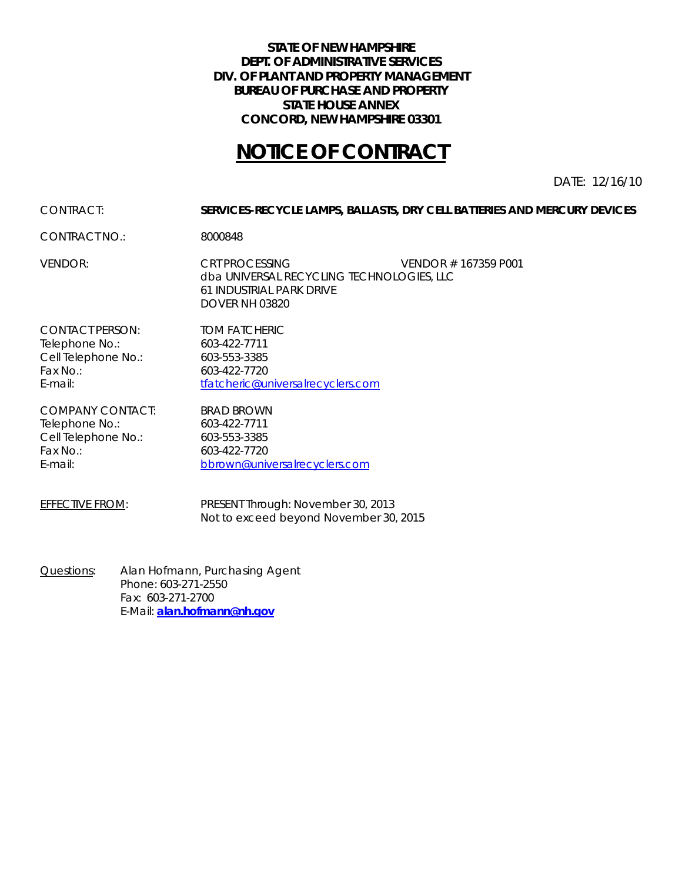#### **STATE OF NEW HAMPSHIRE DEPT. OF ADMINISTRATIVE SERVICES DIV. OF PLANT AND PROPERTY MANAGEMENT BUREAU OF PURCHASE AND PROPERTY STATE HOUSE ANNEX CONCORD, NEW HAMPSHIRE 03301**

# **NOTICE OF CONTRACT**

DATE: 12/16/10

#### CONTRACT: **SERVICES-RECYCLE LAMPS, BALLASTS, DRY CELL BATTERIES AND MERCURY DEVICES**

CONTRACT NO.: 8000848

VENDOR: CRT PROCESSING VENDOR # 167359 P001 dba UNIVERSAL RECYCLING TECHNOLOGIES, LLC 61 INDUSTRIAL PARK DRIVE DOVER NH 03820

CONTACT PERSON: TOM FATCHERIC Telephone No.: 603-422-7711 Cell Telephone No.: 603-553-3385 Fax No.: 603-422-7720

E-mail: [tfatcheric@universalrecyclers.com](mailto:tfatcheric@universalrecyclers.com)

COMPANY CONTACT: BRAD BROWN Telephone No.: 603-422-7711 Cell Telephone No.: 603-553-3385 Fax No.: 603-422-7720

E-mail: [bbrown@universalrecyclers.com](mailto:bbrown@universalrecyclers.com)

EFFECTIVE FROM: PRESENT Through: November 30, 2013 Not to exceed beyond November 30, 2015

Questions: Alan Hofmann, Purchasing Agent Phone: 603-271-2550 Fax: 603-271-2700 E-Mail: **[alan.hofmann@nh.gov](mailto:alan.hofmann@nh.gov)**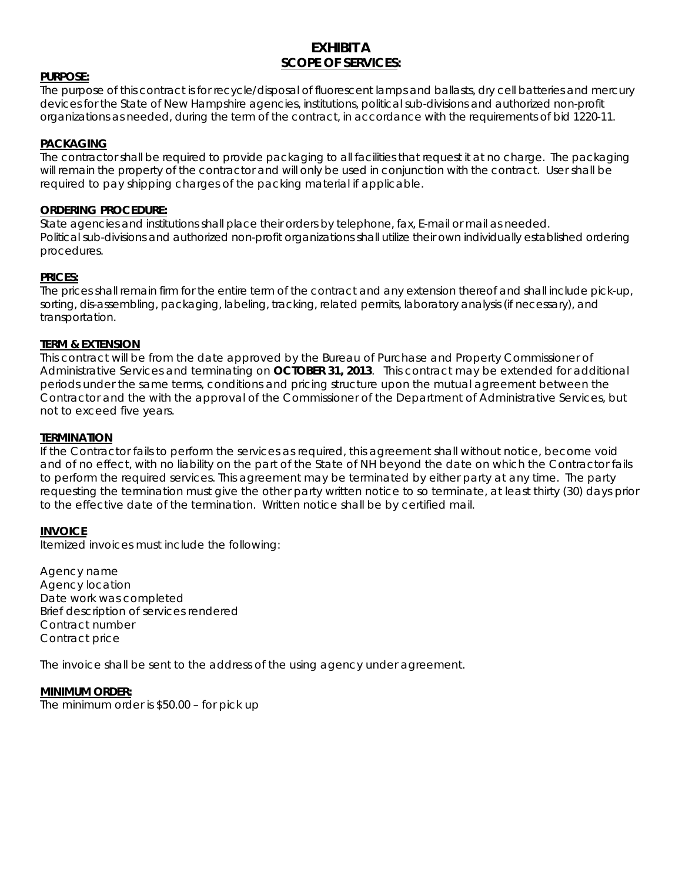### **EXHIBIT A SCOPE OF SERVICES:**

#### **PURPOSE:**

The purpose of this contract is for recycle/disposal of fluorescent lamps and ballasts, dry cell batteries and mercury devices for the State of New Hampshire agencies, institutions, political sub-divisions and authorized non-profit organizations as needed, during the term of the contract, in accordance with the requirements of bid 1220-11.

#### **PACKAGING**

The contractor shall be required to provide packaging to all facilities that request it at no charge. The packaging will remain the property of the contractor and will only be used in conjunction with the contract. User shall be required to pay shipping charges of the packing material if applicable.

#### **ORDERING PROCEDURE:**

State agencies and institutions shall place their orders by telephone, fax, E-mail or mail as needed. Political sub-divisions and authorized non-profit organizations shall utilize their own individually established ordering procedures.

#### **PRICES:**

The prices shall remain firm for the entire term of the contract and any extension thereof and shall include pick-up, sorting, dis-assembling, packaging, labeling, tracking, related permits, laboratory analysis (if necessary), and transportation.

#### **TERM & EXTENSION**

This contract will be from the date approved by the Bureau of Purchase and Property Commissioner of Administrative Services and terminating on **OCTOBER 31, 2013**. This contract may be extended for additional periods under the same terms, conditions and pricing structure upon the mutual agreement between the Contractor and the with the approval of the Commissioner of the Department of Administrative Services, but not to exceed five years.

#### **TERMINATION**

If the Contractor fails to perform the services as required, this agreement shall without notice, become void and of no effect, with no liability on the part of the State of NH beyond the date on which the Contractor fails to perform the required services. This agreement may be terminated by either party at any time. The party requesting the termination must give the other party written notice to so terminate, at least thirty (30) days prior to the effective date of the termination. Written notice shall be by certified mail.

#### **INVOICE**

Itemized invoices must include the following:

Agency name Agency location Date work was completed Brief description of services rendered Contract number Contract price

The invoice shall be sent to the address of the using agency under agreement.

**MINIMUM ORDER:** The minimum order is \$50.00 – for pick up